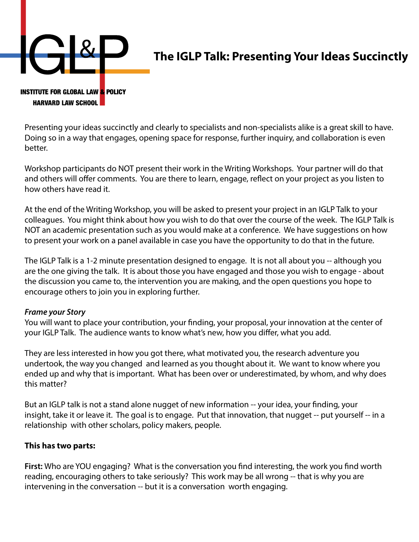

## **The IGLP Talk: Presenting Your Ideas Succinctly**

## **INSTITUTE FOR GLOBAL LAW & POLICY HARVARD LAW SCHOOL**

Presenting your ideas succinctly and clearly to specialists and non-specialists alike is a great skill to have. Doing so in a way that engages, opening space for response, further inquiry, and collaboration is even better.

Workshop participants do NOT present their work in the Writing Workshops. Your partner will do that and others will offer comments. You are there to learn, engage, reflect on your project as you listen to how others have read it.

At the end of the Writing Workshop, you will be asked to present your project in an IGLP Talk to your colleagues. You might think about how you wish to do that over the course of the week. The IGLP Talk is NOT an academic presentation such as you would make at a conference. We have suggestions on how to present your work on a panel available in case you have the opportunity to do that in the future.

The IGLP Talk is a 1-2 minute presentation designed to engage. It is not all about you -- although you are the one giving the talk. It is about those you have engaged and those you wish to engage - about the discussion you came to, the intervention you are making, and the open questions you hope to encourage others to join you in exploring further.

## *Frame your Story*

You will want to place your contribution, your finding, your proposal, your innovation at the center of your IGLP Talk. The audience wants to know what's new, how you differ, what you add.

They are less interested in how you got there, what motivated you, the research adventure you undertook, the way you changed and learned as you thought about it. We want to know where you ended up and why that is important. What has been over or underestimated, by whom, and why does this matter?

But an IGLP talk is not a stand alone nugget of new information -- your idea, your finding, your insight, take it or leave it. The goal is to engage. Put that innovation, that nugget -- put yourself -- in a relationship with other scholars, policy makers, people.

## **This has two parts:**

**First:** Who are YOU engaging? What is the conversation you find interesting, the work you find worth reading, encouraging others to take seriously? This work may be all wrong -- that is why you are intervening in the conversation -- but it is a conversation worth engaging.